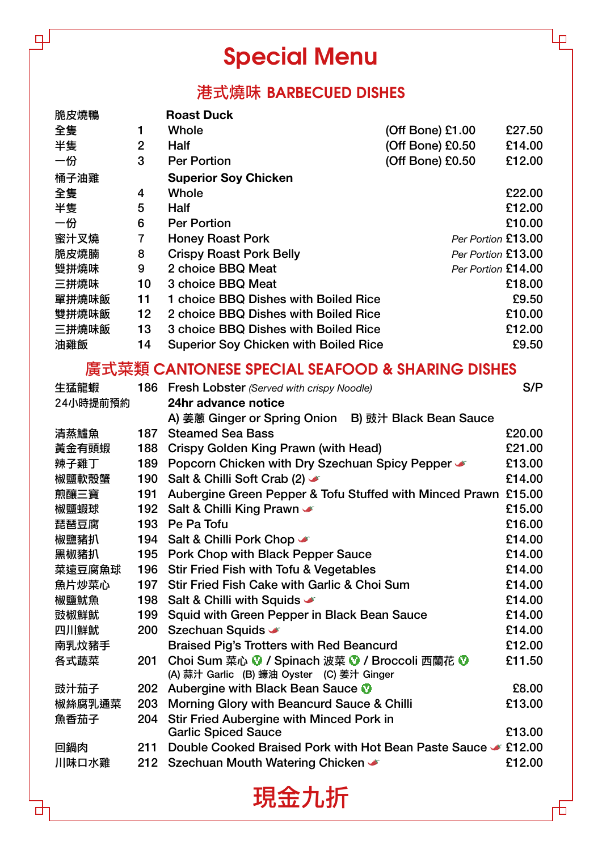## **Special Menu**

 $\mathbb{R}^d$ 

### 港式燒味 **BARBECUED DISHES**

| 脆皮燒鴨  |                | <b>Roast Duck</b>                            |                    |        |
|-------|----------------|----------------------------------------------|--------------------|--------|
| 全隻    | 1              | Whole                                        | (Off Bone) £1.00   | £27.50 |
| 半隻    | $\overline{2}$ | <b>Half</b>                                  | $(Off Bone)$ £0.50 | £14.00 |
| 一份    | 3              | <b>Per Portion</b>                           | (Off Bone) £0.50   | £12.00 |
| 桶子油雞  |                | <b>Superior Soy Chicken</b>                  |                    |        |
| 全隻    | 4              | Whole                                        |                    | £22.00 |
| 半隻    | 5              | <b>Half</b>                                  |                    | £12.00 |
| 一份    | 6              | <b>Per Portion</b>                           |                    | £10.00 |
| 蜜汁叉燒  | 7              | <b>Honey Roast Pork</b>                      | Per Portion £13.00 |        |
| 脆皮燒腩  | 8              | <b>Crispy Roast Pork Belly</b>               | Per Portion £13.00 |        |
| 雙拼燒味  | 9              | 2 choice BBQ Meat                            | Per Portion £14.00 |        |
| 三拼燒味  | 10             | 3 choice BBQ Meat                            |                    | £18.00 |
| 單拼燒味飯 | 11             | 1 choice BBQ Dishes with Boiled Rice         |                    | £9.50  |
| 雙拼燒味飯 | 12             | 2 choice BBQ Dishes with Boiled Rice         |                    | £10.00 |
| 三拼燒味飯 | 13             | 3 choice BBQ Dishes with Boiled Rice         |                    | £12.00 |
| 油雞飯   | 14             | <b>Superior Soy Chicken with Boiled Rice</b> |                    | £9.50  |

#### 廣式菜類 **CANTONESE SPECIAL SEAFOOD & SHARING DISHES**

| 生猛龍蝦     |     | <b>186 Fresh Lobster</b> (Served with crispy Noodle)           | S/P    |
|----------|-----|----------------------------------------------------------------|--------|
| 24小時提前預約 |     | 24hr advance notice                                            |        |
|          |     | A) 姜蔥 Ginger or Spring Onion B) 豉汁 Black Bean Sauce            |        |
| 清蒸鱸魚     | 187 | <b>Steamed Sea Bass</b>                                        | £20.00 |
| 黃金有頭蝦    | 188 | Crispy Golden King Prawn (with Head)                           | £21.00 |
| 辣子雞丁     | 189 | Popcorn Chicken with Dry Szechuan Spicy Pepper                 | £13.00 |
| 椒鹽軟殼蟹    | 190 | Salt & Chilli Soft Crab (2)                                    | £14.00 |
| 煎釀三寶     | 191 | Aubergine Green Pepper & Tofu Stuffed with Minced Prawn £15.00 |        |
| 椒鹽蝦球     | 192 | Salt & Chilli King Prawn                                       | £15.00 |
| 琵琶豆腐     | 193 | Pe Pa Tofu                                                     | £16.00 |
| 椒鹽豬扒     | 194 | Salt & Chilli Pork Chop                                        | £14.00 |
| 黑椒豬扒     | 195 | Pork Chop with Black Pepper Sauce                              | £14.00 |
| 菜遠豆腐魚球   | 196 | <b>Stir Fried Fish with Tofu &amp; Vegetables</b>              | £14.00 |
| 魚片炒菜心    | 197 | Stir Fried Fish Cake with Garlic & Choi Sum                    | £14.00 |
| 椒鹽魷魚     | 198 | Salt & Chilli with Squids                                      | £14.00 |
| 豉椒鮮魷     | 199 | Squid with Green Pepper in Black Bean Sauce                    | £14.00 |
| 四川鮮魷     | 200 | Szechuan Squids <                                              | £14.00 |
| 南乳炆豬手    |     | <b>Braised Pig's Trotters with Red Beancurd</b>                | £12.00 |
| 各式蔬菜     | 201 | Choi Sum 菜心 ♥ / Spinach 波菜 ♥ / Broccoli 西蘭花 ♥                  | £11.50 |
|          |     | (A) 蒜汁 Garlic (B) 蠔油 Oyster (C) 姜汁 Ginger                      |        |
| 豉汁茄子     | 202 | Aubergine with Black Bean Sauce                                | £8.00  |
| 椒絲腐乳通菜   | 203 | Morning Glory with Beancurd Sauce & Chilli                     | £13.00 |
| 魚香茄子     | 204 | <b>Stir Fried Aubergine with Minced Pork in</b>                |        |
|          |     | <b>Garlic Spiced Sauce</b>                                     | £13.00 |
| 回鍋肉      | 211 | Double Cooked Braised Pork with Hot Bean Paste Sauce & £12.00  |        |
| 川味口水雞    | 212 | Szechuan Mouth Watering Chicken →                              | £12.00 |
|          |     |                                                                |        |

現金九折

 $\Box$